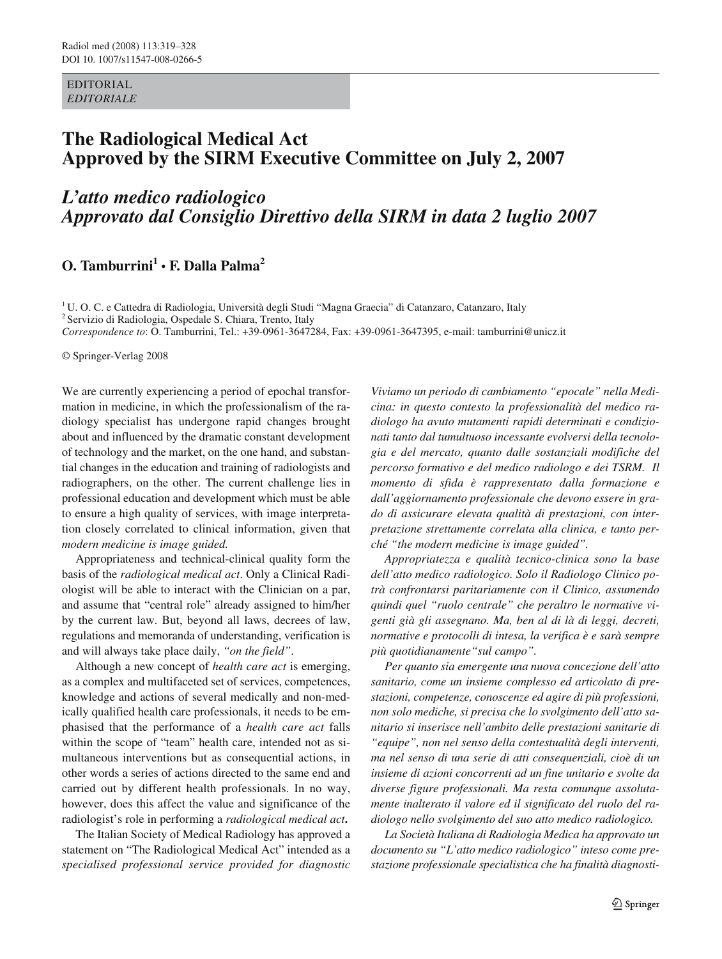EDITORIAL *EDITORIALE*

# **The Radiological Medical Act Approved by the SIRM Executive Committee on July 2, 2007**

# *L'atto medico radiologico Approvato dal Consiglio Direttivo della SIRM in data 2 luglio 2007*

# **O. Tamburrini<sup>1</sup> • F. Dalla Palma<sup>2</sup>**

<sup>1</sup> U. O. C. e Cattedra di Radiologia, Università degli Studi "Magna Graecia" di Catanzaro, Catanzaro, Italy 2 Servizio di Radiologia, Ospedale S. Chiara, Trento, Italy *Correspondence to*: O. Tamburrini, Tel.: +39-0961-3647284, Fax: +39-0961-3647395, e-mail: tamburrini@unicz.it

© Springer-Verlag 2008

We are currently experiencing a period of epochal transformation in medicine, in which the professionalism of the radiology specialist has undergone rapid changes brought about and influenced by the dramatic constant development of technology and the market, on the one hand, and substantial changes in the education and training of radiologists and radiographers, on the other. The current challenge lies in professional education and development which must be able to ensure a high quality of services, with image interpretation closely correlated to clinical information, given that *modern medicine is image guided.* 

Appropriateness and technical-clinical quality form the basis of the *radiological medical act*. Only a Clinical Radiologist will be able to interact with the Clinician on a par, and assume that "central role" already assigned to him/her by the current law. But, beyond all laws, decrees of law, regulations and memoranda of understanding, verification is and will always take place daily, *"on the field"*.

Although a new concept of *health care act* is emerging, as a complex and multifaceted set of services, competences, knowledge and actions of several medically and non-medically qualified health care professionals, it needs to be emphasised that the performance of a *health care act* falls within the scope of "team" health care, intended not as simultaneous interventions but as consequential actions, in other words a series of actions directed to the same end and carried out by different health professionals. In no way, however, does this affect the value and significance of the radiologist's role in performing a *radiological medical act***.** 

The Italian Society of Medical Radiology has approved a statement on "The Radiological Medical Act" intended as a *specialised professional service provided for diagnostic*

*Viviamo un periodo di cambiamento "epocale" nella Medicina: in questo contesto la professionalità del medico radiologo ha avuto mutamenti rapidi determinati e condizionati tanto dal tumultuoso incessante evolversi della tecnologia e del mercato, quanto dalle sostanziali modifiche del percorso formativo e del medico radiologo e dei TSRM. Il momento di sfida è rappresentato dalla formazione e dall'aggiornamento professionale che devono essere in grado di assicurare elevata qualità di prestazioni, con interpretazione strettamente correlata alla clinica, e tanto perché "the modern medicine is image guided".* 

*Appropriatezza e qualità tecnico-clinica sono la base dell'atto medico radiologico. Solo il Radiologo Clinico potrà confrontarsi paritariamente con il Clinico, assumendo quindi quel "ruolo centrale" che peraltro le normative vigenti già gli assegnano. Ma, ben al di là di leggi, decreti, normative e protocolli di intesa, la verifica è e sarà sempre più quotidianamente"sul campo".* 

*Per quanto sia emergente una nuova concezione dell'atto sanitario, come un insieme complesso ed articolato di prestazioni, competenze, conoscenze ed agire di più professioni, non solo mediche, si precisa che lo svolgimento dell'atto sanitario si inserisce nell'ambito delle prestazioni sanitarie di "equipe", non nel senso della contestualità degli interventi, ma nel senso di una serie di atti consequenziali, cioè di un insieme di azioni concorrenti ad un fine unitario e svolte da diverse figure professionali. Ma resta comunque assolutamente inalterato il valore ed il significato del ruolo del radiologo nello svolgimento del suo atto medico radiologico.* 

*La Società Italiana di Radiologia Medica ha approvato un documento su "L'atto medico radiologico" inteso come prestazione professionale specialistica che ha finalità diagnosti-*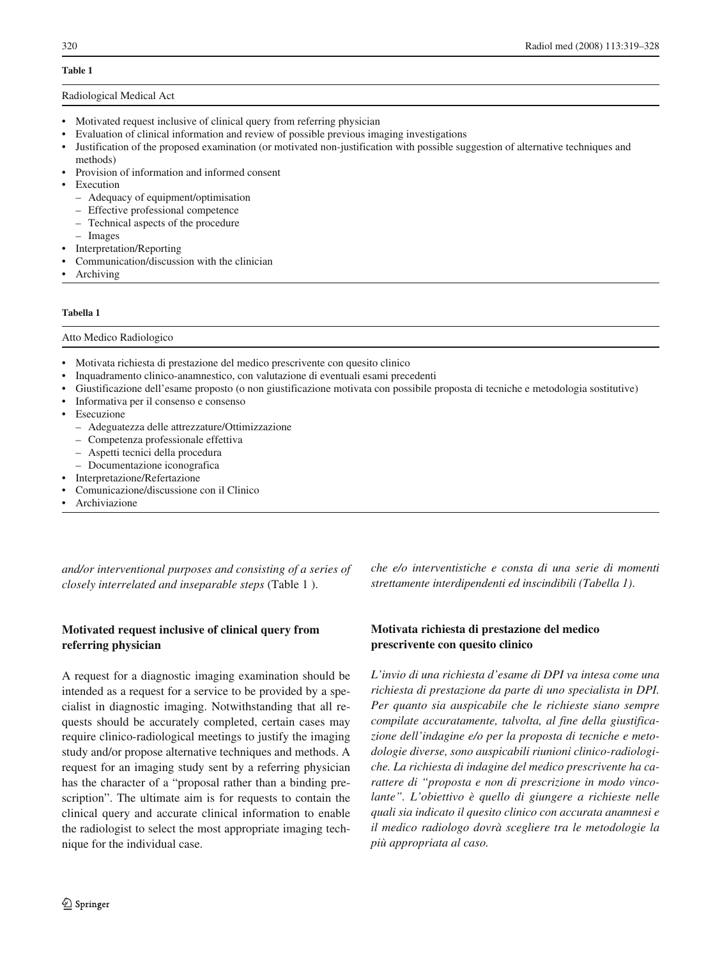# **Table 1**

#### Radiological Medical Act

- Motivated request inclusive of clinical query from referring physician
- Evaluation of clinical information and review of possible previous imaging investigations
- Justification of the proposed examination (or motivated non-justification with possible suggestion of alternative techniques and methods)
- Provision of information and informed consent
- **Execution** 
	- Adequacy of equipment/optimisation
	- Effective professional competence
	- Technical aspects of the procedure
- Images
- Interpretation/Reporting
- Communication/discussion with the clinician
- **Archiving**

### **Tabella 1**

Atto Medico Radiologico

- Motivata richiesta di prestazione del medico prescrivente con quesito clinico
- Inquadramento clinico-anamnestico, con valutazione di eventuali esami precedenti
- Giustificazione dell'esame proposto (o non giustificazione motivata con possibile proposta di tecniche e metodologia sostitutive)
- Informativa per il consenso e consenso
- **Esecuzione** 
	- Adeguatezza delle attrezzature/Ottimizzazione
	- Competenza professionale effettiva
	- Aspetti tecnici della procedura
	- Documentazione iconografica
- Interpretazione/Refertazione
- Comunicazione/discussione con il Clinico
- **Archiviazione**

*and/or interventional purposes and consisting of a series of closely interrelated and inseparable steps* (Table 1 ).

# **Motivated request inclusive of clinical query from referring physician**

A request for a diagnostic imaging examination should be intended as a request for a service to be provided by a specialist in diagnostic imaging. Notwithstanding that all requests should be accurately completed, certain cases may require clinico-radiological meetings to justify the imaging study and/or propose alternative techniques and methods. A request for an imaging study sent by a referring physician has the character of a "proposal rather than a binding prescription". The ultimate aim is for requests to contain the clinical query and accurate clinical information to enable the radiologist to select the most appropriate imaging technique for the individual case.

*che e/o interventistiche e consta di una serie di momenti strettamente interdipendenti ed inscindibili (Tabella 1)*.

# **Motivata richiesta di prestazione del medico prescrivente con quesito clinico**

*L'invio di una richiesta d'esame di DPI va intesa come una richiesta di prestazione da parte di uno specialista in DPI. Per quanto sia auspicabile che le richieste siano sempre compilate accuratamente, talvolta, al fine della giustificazione dell'indagine e/o per la proposta di tecniche e metodologie diverse, sono auspicabili riunioni clinico-radiologiche. La richiesta di indagine del medico prescrivente ha carattere di "proposta e non di prescrizione in modo vincolante". L'obiettivo è quello di giungere a richieste nelle quali sia indicato il quesito clinico con accurata anamnesi e il medico radiologo dovrà scegliere tra le metodologie la più appropriata al caso.*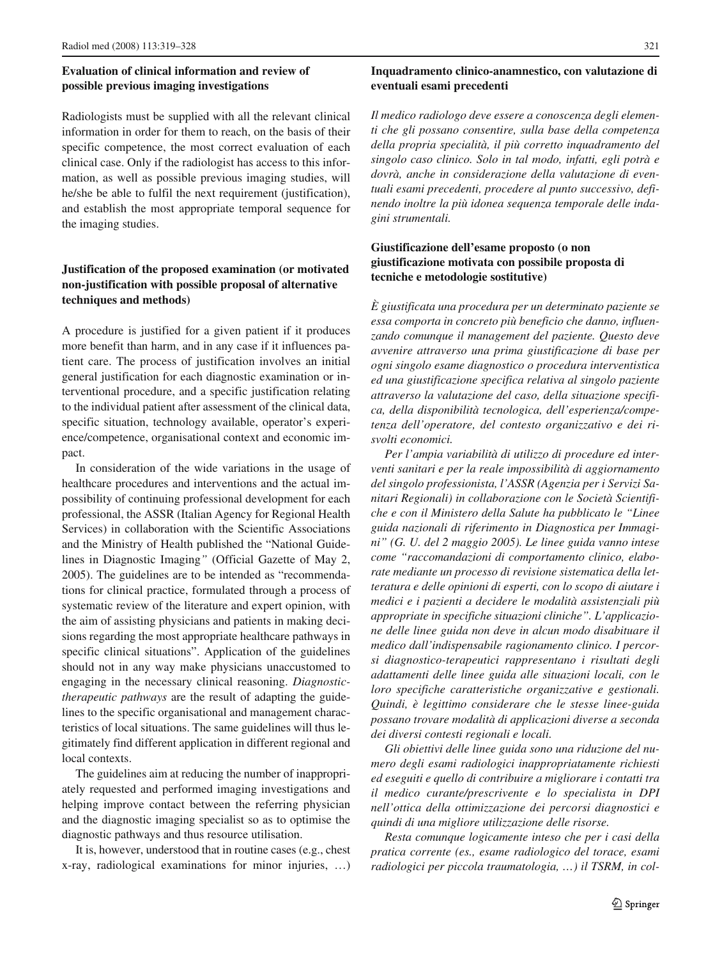# **Evaluation of clinical information and review of possible previous imaging investigations**

Radiologists must be supplied with all the relevant clinical information in order for them to reach, on the basis of their specific competence, the most correct evaluation of each clinical case. Only if the radiologist has access to this information, as well as possible previous imaging studies, will he/she be able to fulfil the next requirement (justification), and establish the most appropriate temporal sequence for the imaging studies.

# **Justification of the proposed examination (or motivated non-justification with possible proposal of alternative techniques and methods)**

A procedure is justified for a given patient if it produces more benefit than harm, and in any case if it influences patient care. The process of justification involves an initial general justification for each diagnostic examination or interventional procedure, and a specific justification relating to the individual patient after assessment of the clinical data, specific situation, technology available, operator's experience/competence, organisational context and economic impact.

In consideration of the wide variations in the usage of healthcare procedures and interventions and the actual impossibility of continuing professional development for each professional, the ASSR (Italian Agency for Regional Health Services) in collaboration with the Scientific Associations and the Ministry of Health published the "National Guidelines in Diagnostic Imaging*"* (Official Gazette of May 2, 2005). The guidelines are to be intended as "recommendations for clinical practice, formulated through a process of systematic review of the literature and expert opinion, with the aim of assisting physicians and patients in making decisions regarding the most appropriate healthcare pathways in specific clinical situations". Application of the guidelines should not in any way make physicians unaccustomed to engaging in the necessary clinical reasoning. *Diagnostictherapeutic pathways* are the result of adapting the guidelines to the specific organisational and management characteristics of local situations. The same guidelines will thus legitimately find different application in different regional and local contexts.

The guidelines aim at reducing the number of inappropriately requested and performed imaging investigations and helping improve contact between the referring physician and the diagnostic imaging specialist so as to optimise the diagnostic pathways and thus resource utilisation.

It is, however, understood that in routine cases (e.g., chest x-ray, radiological examinations for minor injuries, …)

# **Inquadramento clinico-anamnestico, con valutazione di eventuali esami precedenti**

*Il medico radiologo deve essere a conoscenza degli elementi che gli possano consentire, sulla base della competenza della propria specialità, il più corretto inquadramento del singolo caso clinico. Solo in tal modo, infatti, egli potrà e dovrà, anche in considerazione della valutazione di eventuali esami precedenti, procedere al punto successivo, definendo inoltre la più idonea sequenza temporale delle indagini strumentali.* 

## **Giustificazione dell'esame proposto (o non giustificazione motivata con possibile proposta di tecniche e metodologie sostitutive)**

*È giustificata una procedura per un determinato paziente se essa comporta in concreto più beneficio che danno, influenzando comunque il management del paziente. Questo deve avvenire attraverso una prima giustificazione di base per ogni singolo esame diagnostico o procedura interventistica ed una giustificazione specifica relativa al singolo paziente attraverso la valutazione del caso, della situazione specifica, della disponibilità tecnologica, dell'esperienza/competenza dell'operatore, del contesto organizzativo e dei risvolti economici.* 

*Per l'ampia variabilità di utilizzo di procedure ed interventi sanitari e per la reale impossibilità di aggiornamento del singolo professionista, l'ASSR (Agenzia per i Servizi Sanitari Regionali) in collaborazione con le Società Scientifiche e con il Ministero della Salute ha pubblicato le "Linee guida nazionali di riferimento in Diagnostica per Immagini" (G. U. del 2 maggio 2005). Le linee guida vanno intese come "raccomandazioni di comportamento clinico, elaborate mediante un processo di revisione sistematica della letteratura e delle opinioni di esperti, con lo scopo di aiutare i medici e i pazienti a decidere le modalità assistenziali più appropriate in specifiche situazioni cliniche". L'applicazione delle linee guida non deve in alcun modo disabituare il medico dall'indispensabile ragionamento clinico. I percorsi diagnostico-terapeutici rappresentano i risultati degli adattamenti delle linee guida alle situazioni locali, con le loro specifiche caratteristiche organizzative e gestionali. Quindi, è legittimo considerare che le stesse linee-guida possano trovare modalità di applicazioni diverse a seconda dei diversi contesti regionali e locali.* 

*Gli obiettivi delle linee guida sono una riduzione del numero degli esami radiologici inappropriatamente richiesti ed eseguiti e quello di contribuire a migliorare i contatti tra il medico curante/prescrivente e lo specialista in DPI nell'ottica della ottimizzazione dei percorsi diagnostici e quindi di una migliore utilizzazione delle risorse.* 

*Resta comunque logicamente inteso che per i casi della pratica corrente (es., esame radiologico del torace, esami radiologici per piccola traumatologia, …) il TSRM, in col-*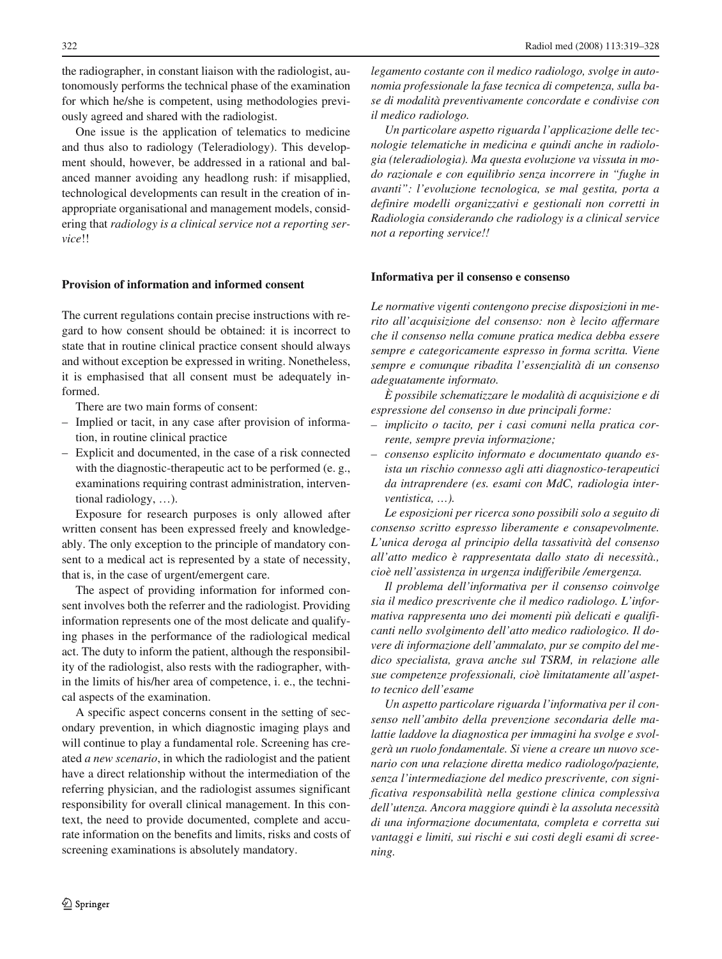the radiographer, in constant liaison with the radiologist, autonomously performs the technical phase of the examination for which he/she is competent, using methodologies previously agreed and shared with the radiologist.

One issue is the application of telematics to medicine and thus also to radiology (Teleradiology). This development should, however, be addressed in a rational and balanced manner avoiding any headlong rush: if misapplied, technological developments can result in the creation of inappropriate organisational and management models, considering that *radiology is a clinical service not a reporting service*!!

#### **Provision of information and informed consent**

The current regulations contain precise instructions with regard to how consent should be obtained: it is incorrect to state that in routine clinical practice consent should always and without exception be expressed in writing. Nonetheless, it is emphasised that all consent must be adequately informed.

There are two main forms of consent:

- Implied or tacit, in any case after provision of information, in routine clinical practice
- Explicit and documented, in the case of a risk connected with the diagnostic-therapeutic act to be performed (e. g., examinations requiring contrast administration, interventional radiology, …).

Exposure for research purposes is only allowed after written consent has been expressed freely and knowledgeably. The only exception to the principle of mandatory consent to a medical act is represented by a state of necessity, that is, in the case of urgent/emergent care.

The aspect of providing information for informed consent involves both the referrer and the radiologist. Providing information represents one of the most delicate and qualifying phases in the performance of the radiological medical act. The duty to inform the patient, although the responsibility of the radiologist, also rests with the radiographer, within the limits of his/her area of competence, i. e., the technical aspects of the examination.

A specific aspect concerns consent in the setting of secondary prevention, in which diagnostic imaging plays and will continue to play a fundamental role. Screening has created *a new scenario*, in which the radiologist and the patient have a direct relationship without the intermediation of the referring physician, and the radiologist assumes significant responsibility for overall clinical management. In this context, the need to provide documented, complete and accurate information on the benefits and limits, risks and costs of screening examinations is absolutely mandatory.

*legamento costante con il medico radiologo, svolge in autonomia professionale la fase tecnica di competenza, sulla base di modalità preventivamente concordate e condivise con il medico radiologo.* 

*Un particolare aspetto riguarda l'applicazione delle tecnologie telematiche in medicina e quindi anche in radiologia (teleradiologia). Ma questa evoluzione va vissuta in modo razionale e con equilibrio senza incorrere in "fughe in avanti": l'evoluzione tecnologica, se mal gestita, porta a definire modelli organizzativi e gestionali non corretti in Radiologia considerando che radiology is a clinical service not a reporting service!!* 

#### **Informativa per il consenso e consenso**

*Le normative vigenti contengono precise disposizioni in merito all'acquisizione del consenso: non è lecito affermare che il consenso nella comune pratica medica debba essere sempre e categoricamente espresso in forma scritta. Viene sempre e comunque ribadita l'essenzialità di un consenso adeguatamente informato.* 

*È possibile schematizzare le modalità di acquisizione e di espressione del consenso in due principali forme:*

- *implicito o tacito, per i casi comuni nella pratica corrente, sempre previa informazione;*
- *consenso esplicito informato e documentato quando esista un rischio connesso agli atti diagnostico-terapeutici da intraprendere (es. esami con MdC, radiologia interventistica, …).*

*Le esposizioni per ricerca sono possibili solo a seguito di consenso scritto espresso liberamente e consapevolmente. L'unica deroga al principio della tassatività del consenso all'atto medico è rappresentata dallo stato di necessità., cioè nell'assistenza in urgenza indifferibile /emergenza.* 

*Il problema dell'informativa per il consenso coinvolge sia il medico prescrivente che il medico radiologo. L'informativa rappresenta uno dei momenti più delicati e qualificanti nello svolgimento dell'atto medico radiologico. Il dovere di informazione dell'ammalato, pur se compito del medico specialista, grava anche sul TSRM, in relazione alle sue competenze professionali, cioè limitatamente all'aspetto tecnico dell'esame* 

*Un aspetto particolare riguarda l'informativa per il consenso nell'ambito della prevenzione secondaria delle malattie laddove la diagnostica per immagini ha svolge e svolgerà un ruolo fondamentale. Si viene a creare un nuovo scenario con una relazione diretta medico radiologo/paziente, senza l'intermediazione del medico prescrivente, con significativa responsabilità nella gestione clinica complessiva dell'utenza. Ancora maggiore quindi è la assoluta necessità di una informazione documentata, completa e corretta sui vantaggi e limiti, sui rischi e sui costi degli esami di screening.*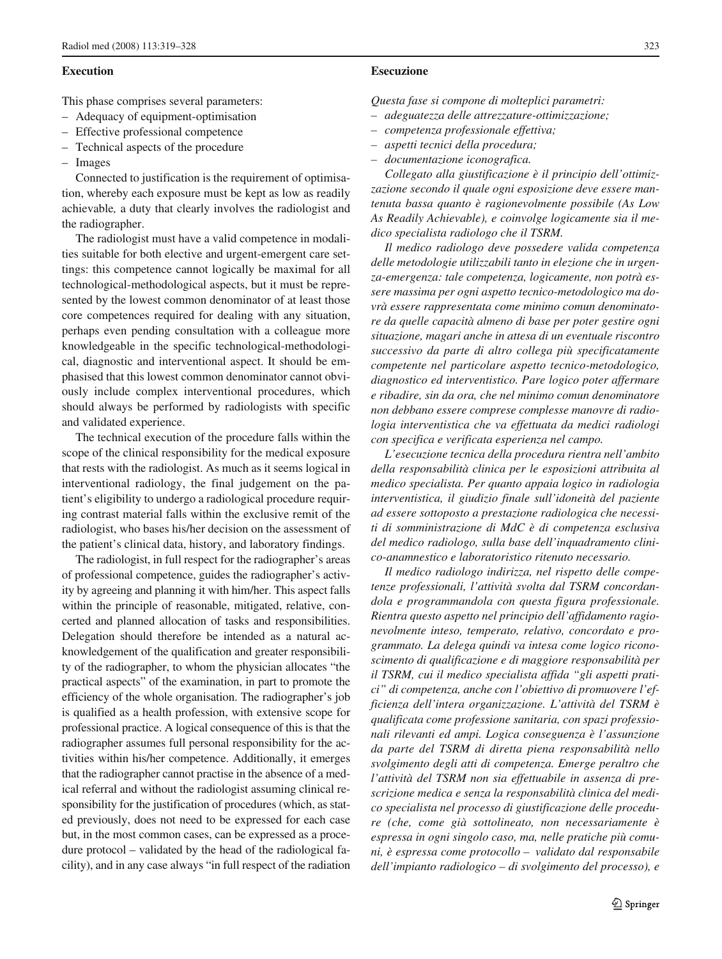#### **Execution**

This phase comprises several parameters:

- Adequacy of equipment-optimisation
- Effective professional competence
- Technical aspects of the procedure
- Images

Connected to justification is the requirement of optimisation, whereby each exposure must be kept as low as readily achievable*,* a duty that clearly involves the radiologist and the radiographer.

The radiologist must have a valid competence in modalities suitable for both elective and urgent-emergent care settings: this competence cannot logically be maximal for all technological-methodological aspects, but it must be represented by the lowest common denominator of at least those core competences required for dealing with any situation, perhaps even pending consultation with a colleague more knowledgeable in the specific technological-methodological, diagnostic and interventional aspect. It should be emphasised that this lowest common denominator cannot obviously include complex interventional procedures, which should always be performed by radiologists with specific and validated experience.

The technical execution of the procedure falls within the scope of the clinical responsibility for the medical exposure that rests with the radiologist. As much as it seems logical in interventional radiology, the final judgement on the patient's eligibility to undergo a radiological procedure requiring contrast material falls within the exclusive remit of the radiologist, who bases his/her decision on the assessment of the patient's clinical data, history, and laboratory findings.

The radiologist, in full respect for the radiographer's areas of professional competence, guides the radiographer's activity by agreeing and planning it with him/her. This aspect falls within the principle of reasonable, mitigated, relative, concerted and planned allocation of tasks and responsibilities. Delegation should therefore be intended as a natural acknowledgement of the qualification and greater responsibility of the radiographer, to whom the physician allocates "the practical aspects" of the examination, in part to promote the efficiency of the whole organisation. The radiographer's job is qualified as a health profession, with extensive scope for professional practice. A logical consequence of this is that the radiographer assumes full personal responsibility for the activities within his/her competence. Additionally, it emerges that the radiographer cannot practise in the absence of a medical referral and without the radiologist assuming clinical responsibility for the justification of procedures (which, as stated previously, does not need to be expressed for each case but, in the most common cases, can be expressed as a procedure protocol – validated by the head of the radiological facility), and in any case always "in full respect of the radiation *Questa fase si compone di molteplici parametri:*

- *adeguatezza delle attrezzature-ottimizzazione;*
- *competenza professionale effettiva;*
- *aspetti tecnici della procedura;*
- *documentazione iconografica.*

*Collegato alla giustificazione è il principio dell'ottimizzazione secondo il quale ogni esposizione deve essere mantenuta bassa quanto è ragionevolmente possibile (As Low As Readily Achievable), e coinvolge logicamente sia il medico specialista radiologo che il TSRM.* 

*Il medico radiologo deve possedere valida competenza delle metodologie utilizzabili tanto in elezione che in urgenza-emergenza: tale competenza, logicamente, non potrà essere massima per ogni aspetto tecnico-metodologico ma dovrà essere rappresentata come minimo comun denominatore da quelle capacità almeno di base per poter gestire ogni situazione, magari anche in attesa di un eventuale riscontro successivo da parte di altro collega più specificatamente competente nel particolare aspetto tecnico-metodologico, diagnostico ed interventistico. Pare logico poter affermare e ribadire, sin da ora, che nel minimo comun denominatore non debbano essere comprese complesse manovre di radiologia interventistica che va effettuata da medici radiologi con specifica e verificata esperienza nel campo.* 

*L'esecuzione tecnica della procedura rientra nell'ambito della responsabilità clinica per le esposizioni attribuita al medico specialista. Per quanto appaia logico in radiologia interventistica, il giudizio finale sull'idoneità del paziente ad essere sottoposto a prestazione radiologica che necessiti di somministrazione di MdC è di competenza esclusiva del medico radiologo, sulla base dell'inquadramento clinico-anamnestico e laboratoristico ritenuto necessario.* 

*Il medico radiologo indirizza, nel rispetto delle competenze professionali, l'attività svolta dal TSRM concordandola e programmandola con questa figura professionale. Rientra questo aspetto nel principio dell'affidamento ragionevolmente inteso, temperato, relativo, concordato e programmato. La delega quindi va intesa come logico riconoscimento di qualificazione e di maggiore responsabilità per il TSRM, cui il medico specialista affida "gli aspetti pratici" di competenza, anche con l'obiettivo di promuovere l'efficienza dell'intera organizzazione. L'attività del TSRM è qualificata come professione sanitaria, con spazi professionali rilevanti ed ampi. Logica conseguenza è l'assunzione da parte del TSRM di diretta piena responsabilità nello svolgimento degli atti di competenza. Emerge peraltro che l'attività del TSRM non sia effettuabile in assenza di prescrizione medica e senza la responsabilità clinica del medico specialista nel processo di giustificazione delle procedure (che, come già sottolineato, non necessariamente è espressa in ogni singolo caso, ma, nelle pratiche più comuni, è espressa come protocollo – validato dal responsabile dell'impianto radiologico – di svolgimento del processo), e*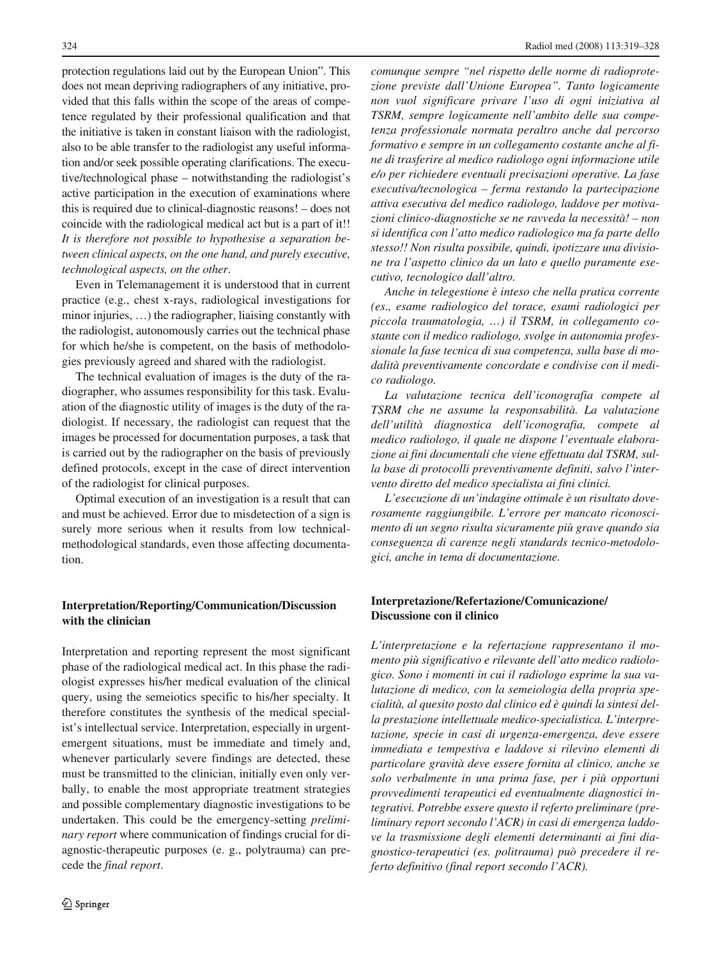protection regulations laid out by the European Union". This does not mean depriving radiographers of any initiative, provided that this falls within the scope of the areas of competence regulated by their professional qualification and that the initiative is taken in constant liaison with the radiologist, also to be able transfer to the radiologist any useful information and/or seek possible operating clarifications. The executive/technological phase – notwithstanding the radiologist's active participation in the execution of examinations where this is required due to clinical-diagnostic reasons! – does not coincide with the radiological medical act but is a part of it!! *It is therefore not possible to hypothesise a separation between clinical aspects, on the one hand, and purely executive, technological aspects, on the other*.

Even in Telemanagement it is understood that in current practice (e.g., chest x-rays, radiological investigations for minor injuries, …) the radiographer, liaising constantly with the radiologist, autonomously carries out the technical phase for which he/she is competent, on the basis of methodologies previously agreed and shared with the radiologist.

The technical evaluation of images is the duty of the radiographer, who assumes responsibility for this task. Evaluation of the diagnostic utility of images is the duty of the radiologist. If necessary, the radiologist can request that the images be processed for documentation purposes, a task that is carried out by the radiographer on the basis of previously defined protocols, except in the case of direct intervention of the radiologist for clinical purposes.

Optimal execution of an investigation is a result that can and must be achieved. Error due to misdetection of a sign is surely more serious when it results from low technicalmethodological standards, even those affecting documentation.

## **Interpretation/Reporting/Communication/Discussion with the clinician**

Interpretation and reporting represent the most significant phase of the radiological medical act. In this phase the radiologist expresses his/her medical evaluation of the clinical query, using the semeiotics specific to his/her specialty. It therefore constitutes the synthesis of the medical specialist's intellectual service. Interpretation, especially in urgentemergent situations, must be immediate and timely and, whenever particularly severe findings are detected, these must be transmitted to the clinician, initially even only verbally, to enable the most appropriate treatment strategies and possible complementary diagnostic investigations to be undertaken. This could be the emergency-setting *preliminary report* where communication of findings crucial for diagnostic-therapeutic purposes (e. g., polytrauma) can precede the *final report*.

*comunque sempre "nel rispetto delle norme di radioprotezione previste dall'Unione Europea". Tanto logicamente non vuol significare privare l'uso di ogni iniziativa al TSRM, sempre logicamente nell'ambito delle sua competenza professionale normata peraltro anche dal percorso formativo e sempre in un collegamento costante anche al fine di trasferire al medico radiologo ogni informazione utile e/o per richiedere eventuali precisazioni operative. La fase esecutiva/tecnologica – ferma restando la partecipazione attiva esecutiva del medico radiologo, laddove per motivazioni clinico-diagnostiche se ne ravveda la necessità! – non si identifica con l'atto medico radiologico ma fa parte dello stesso!! Non risulta possibile, quindi, ipotizzare una divisione tra l'aspetto clinico da un lato e quello puramente esecutivo, tecnologico dall'altro.* 

*Anche in telegestione è inteso che nella pratica corrente (es., esame radiologico del torace, esami radiologici per piccola traumatologia, …) il TSRM, in collegamento costante con il medico radiologo, svolge in autonomia professionale la fase tecnica di sua competenza, sulla base di modalità preventivamente concordate e condivise con il medico radiologo.* 

*La valutazione tecnica dell'iconografia compete al TSRM che ne assume la responsabilità. La valutazione dell'utilità diagnostica dell'iconografia, compete al medico radiologo, il quale ne dispone l'eventuale elaborazione ai fini documentali che viene effettuata dal TSRM, sulla base di protocolli preventivamente definiti, salvo l'intervento diretto del medico specialista ai fini clinici.* 

*L'esecuzione di un'indagine ottimale è un risultato doverosamente raggiungibile. L'errore per mancato riconoscimento di un segno risulta sicuramente più grave quando sia conseguenza di carenze negli standards tecnico-metodologici, anche in tema di documentazione.* 

## **Interpretazione/Refertazione/Comunicazione/ Discussione con il clinico**

*L'interpretazione e la refertazione rappresentano il momento più significativo e rilevante dell'atto medico radiologico. Sono i momenti in cui il radiologo esprime la sua valutazione di medico, con la semeiologia della propria specialità, al quesito posto dal clinico ed è quindi la sintesi della prestazione intellettuale medico-specialistica. L'interpretazione, specie in casi di urgenza-emergenza, deve essere immediata e tempestiva e laddove si rilevino elementi di particolare gravità deve essere fornita al clinico, anche se solo verbalmente in una prima fase, per i più opportuni provvedimenti terapeutici ed eventualmente diagnostici integrativi. Potrebbe essere questo il referto preliminare (preliminary report secondo l'ACR) in casi di emergenza laddove la trasmissione degli elementi determinanti ai fini diagnostico-terapeutici (es. politrauma) può precedere il referto definitivo (final report secondo l'ACR).*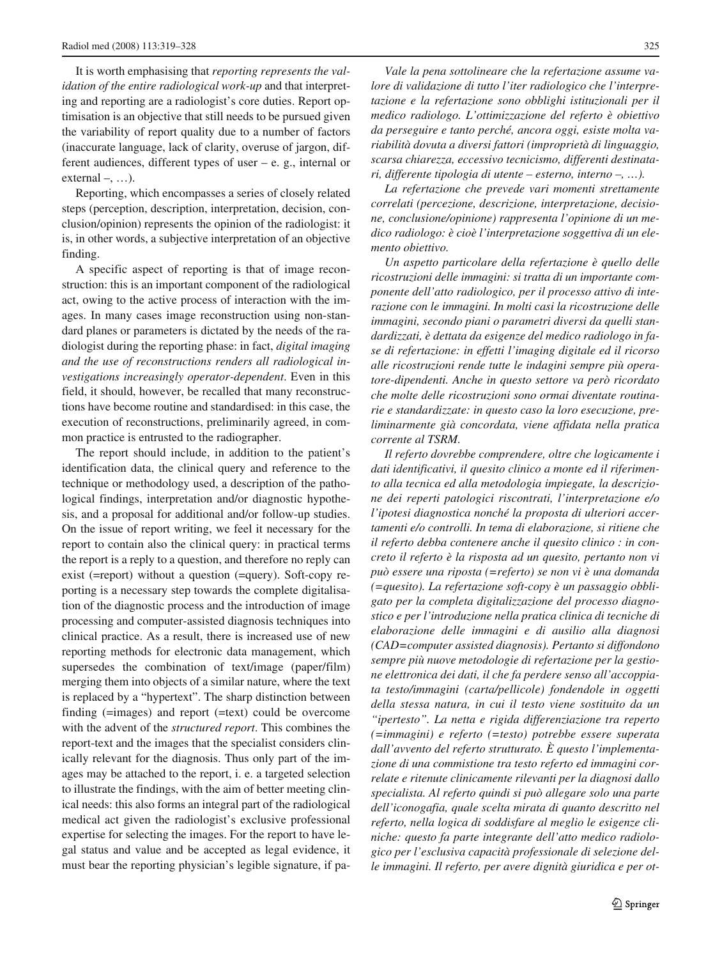It is worth emphasising that *reporting represents the validation of the entire radiological work-up* and that interpreting and reporting are a radiologist's core duties. Report optimisation is an objective that still needs to be pursued given the variability of report quality due to a number of factors (inaccurate language, lack of clarity, overuse of jargon, different audiences, different types of user – e. g., internal or external  $-, \ldots$ ).

Reporting, which encompasses a series of closely related steps (perception, description, interpretation, decision, conclusion/opinion) represents the opinion of the radiologist: it is, in other words, a subjective interpretation of an objective finding.

A specific aspect of reporting is that of image reconstruction: this is an important component of the radiological act, owing to the active process of interaction with the images. In many cases image reconstruction using non-standard planes or parameters is dictated by the needs of the radiologist during the reporting phase: in fact, *digital imaging and the use of reconstructions renders all radiological investigations increasingly operator-dependent*. Even in this field, it should, however, be recalled that many reconstructions have become routine and standardised: in this case, the execution of reconstructions, preliminarily agreed, in common practice is entrusted to the radiographer.

The report should include, in addition to the patient's identification data, the clinical query and reference to the technique or methodology used, a description of the pathological findings, interpretation and/or diagnostic hypothesis, and a proposal for additional and/or follow-up studies. On the issue of report writing, we feel it necessary for the report to contain also the clinical query: in practical terms the report is a reply to a question, and therefore no reply can exist (=report) without a question (=query). Soft-copy reporting is a necessary step towards the complete digitalisation of the diagnostic process and the introduction of image processing and computer-assisted diagnosis techniques into clinical practice. As a result, there is increased use of new reporting methods for electronic data management, which supersedes the combination of text/image (paper/film) merging them into objects of a similar nature, where the text is replaced by a "hypertext". The sharp distinction between finding (=images) and report (=text) could be overcome with the advent of the *structured report*. This combines the report-text and the images that the specialist considers clinically relevant for the diagnosis. Thus only part of the images may be attached to the report, i. e. a targeted selection to illustrate the findings, with the aim of better meeting clinical needs: this also forms an integral part of the radiological medical act given the radiologist's exclusive professional expertise for selecting the images. For the report to have legal status and value and be accepted as legal evidence, it must bear the reporting physician's legible signature, if pa-

*Vale la pena sottolineare che la refertazione assume valore di validazione di tutto l'iter radiologico che l'interpretazione e la refertazione sono obblighi istituzionali per il medico radiologo. L'ottimizzazione del referto è obiettivo da perseguire e tanto perché, ancora oggi, esiste molta variabilità dovuta a diversi fattori (improprietà di linguaggio, scarsa chiarezza, eccessivo tecnicismo, differenti destinatari, differente tipologia di utente – esterno, interno –, …).* 

*La refertazione che prevede vari momenti strettamente correlati (percezione, descrizione, interpretazione, decisione, conclusione/opinione) rappresenta l'opinione di un medico radiologo: è cioè l'interpretazione soggettiva di un elemento obiettivo.* 

*Un aspetto particolare della refertazione è quello delle ricostruzioni delle immagini: si tratta di un importante componente dell'atto radiologico, per il processo attivo di interazione con le immagini. In molti casi la ricostruzione delle immagini, secondo piani o parametri diversi da quelli standardizzati, è dettata da esigenze del medico radiologo in fase di refertazione: in effetti l'imaging digitale ed il ricorso alle ricostruzioni rende tutte le indagini sempre più operatore-dipendenti. Anche in questo settore va però ricordato che molte delle ricostruzioni sono ormai diventate routinarie e standardizzate: in questo caso la loro esecuzione, preliminarmente già concordata, viene affidata nella pratica corrente al TSRM.* 

*Il referto dovrebbe comprendere, oltre che logicamente i dati identificativi, il quesito clinico a monte ed il riferimento alla tecnica ed alla metodologia impiegate, la descrizione dei reperti patologici riscontrati, l'interpretazione e/o l'ipotesi diagnostica nonché la proposta di ulteriori accertamenti e/o controlli. In tema di elaborazione, si ritiene che il referto debba contenere anche il quesito clinico : in concreto il referto è la risposta ad un quesito, pertanto non vi può essere una riposta (=referto) se non vi è una domanda (=quesito). La refertazione soft-copy è un passaggio obbligato per la completa digitalizzazione del processo diagnostico e per l'introduzione nella pratica clinica di tecniche di elaborazione delle immagini e di ausilio alla diagnosi (CAD=computer assisted diagnosis). Pertanto si diffondono sempre più nuove metodologie di refertazione per la gestione elettronica dei dati, il che fa perdere senso all'accoppiata testo/immagini (carta/pellicole) fondendole in oggetti della stessa natura, in cui il testo viene sostituito da un "ipertesto". La netta e rigida differenziazione tra reperto (=immagini) e referto (=testo) potrebbe essere superata dall'avvento del referto strutturato. È questo l'implementazione di una commistione tra testo referto ed immagini correlate e ritenute clinicamente rilevanti per la diagnosi dallo specialista. Al referto quindi si può allegare solo una parte dell'iconogafia, quale scelta mirata di quanto descritto nel referto, nella logica di soddisfare al meglio le esigenze cliniche: questo fa parte integrante dell'atto medico radiologico per l'esclusiva capacità professionale di selezione delle immagini. Il referto, per avere dignità giuridica e per ot-*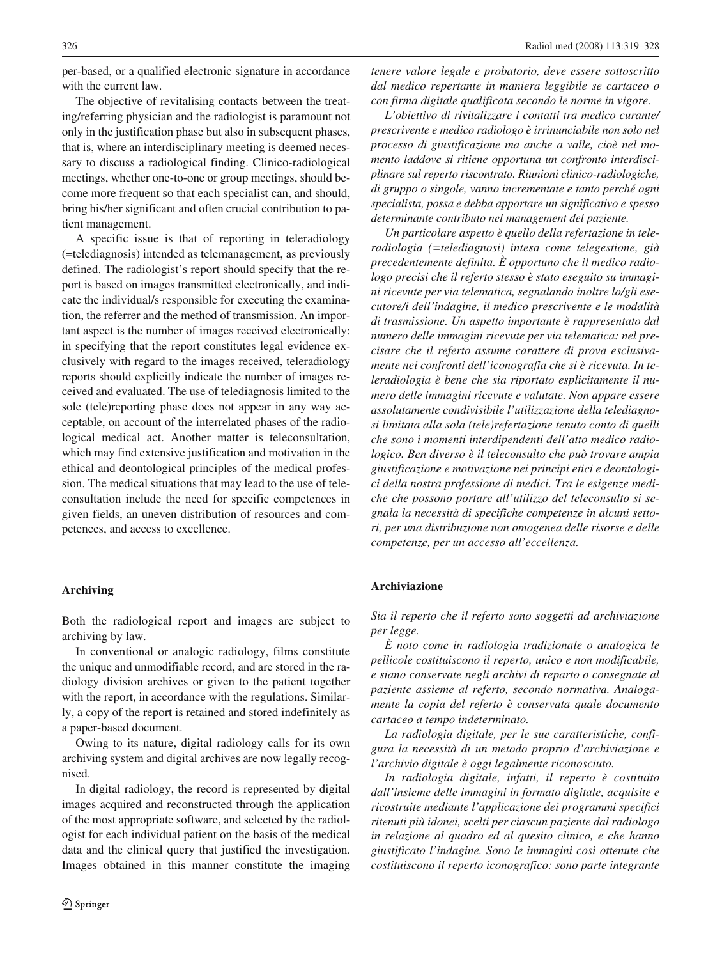per-based, or a qualified electronic signature in accordance with the current law.

The objective of revitalising contacts between the treating/referring physician and the radiologist is paramount not only in the justification phase but also in subsequent phases, that is, where an interdisciplinary meeting is deemed necessary to discuss a radiological finding. Clinico-radiological meetings, whether one-to-one or group meetings, should become more frequent so that each specialist can, and should, bring his/her significant and often crucial contribution to patient management.

A specific issue is that of reporting in teleradiology (=telediagnosis) intended as telemanagement, as previously defined. The radiologist's report should specify that the report is based on images transmitted electronically, and indicate the individual/s responsible for executing the examination, the referrer and the method of transmission. An important aspect is the number of images received electronically: in specifying that the report constitutes legal evidence exclusively with regard to the images received, teleradiology reports should explicitly indicate the number of images received and evaluated. The use of telediagnosis limited to the sole (tele)reporting phase does not appear in any way acceptable, on account of the interrelated phases of the radiological medical act. Another matter is teleconsultation, which may find extensive justification and motivation in the ethical and deontological principles of the medical profession. The medical situations that may lead to the use of teleconsultation include the need for specific competences in given fields, an uneven distribution of resources and competences, and access to excellence.

#### **Archiving**

Both the radiological report and images are subject to archiving by law.

In conventional or analogic radiology, films constitute the unique and unmodifiable record, and are stored in the radiology division archives or given to the patient together with the report, in accordance with the regulations. Similarly, a copy of the report is retained and stored indefinitely as a paper-based document.

Owing to its nature, digital radiology calls for its own archiving system and digital archives are now legally recognised.

In digital radiology, the record is represented by digital images acquired and reconstructed through the application of the most appropriate software, and selected by the radiologist for each individual patient on the basis of the medical data and the clinical query that justified the investigation. Images obtained in this manner constitute the imaging

*tenere valore legale e probatorio, deve essere sottoscritto dal medico repertante in maniera leggibile se cartaceo o con firma digitale qualificata secondo le norme in vigore.* 

*L'obiettivo di rivitalizzare i contatti tra medico curante/ prescrivente e medico radiologo è irrinunciabile non solo nel processo di giustificazione ma anche a valle, cioè nel momento laddove si ritiene opportuna un confronto interdisciplinare sul reperto riscontrato. Riunioni clinico-radiologiche, di gruppo o singole, vanno incrementate e tanto perché ogni specialista, possa e debba apportare un significativo e spesso determinante contributo nel management del paziente.* 

*Un particolare aspetto è quello della refertazione in teleradiologia (=telediagnosi) intesa come telegestione, già precedentemente definita. È opportuno che il medico radiologo precisi che il referto stesso è stato eseguito su immagini ricevute per via telematica, segnalando inoltre lo/gli esecutore/i dell'indagine, il medico prescrivente e le modalità di trasmissione. Un aspetto importante è rappresentato dal numero delle immagini ricevute per via telematica: nel precisare che il referto assume carattere di prova esclusivamente nei confronti dell'iconografia che si è ricevuta. In teleradiologia è bene che sia riportato esplicitamente il numero delle immagini ricevute e valutate. Non appare essere assolutamente condivisibile l'utilizzazione della telediagnosi limitata alla sola (tele)refertazione tenuto conto di quelli che sono i momenti interdipendenti dell'atto medico radiologico. Ben diverso è il teleconsulto che può trovare ampia giustificazione e motivazione nei principi etici e deontologici della nostra professione di medici. Tra le esigenze mediche che possono portare all'utilizzo del teleconsulto si segnala la necessità di specifiche competenze in alcuni settori, per una distribuzione non omogenea delle risorse e delle competenze, per un accesso all'eccellenza.* 

### **Archiviazione**

*Sia il reperto che il referto sono soggetti ad archiviazione per legge.* 

*È noto come in radiologia tradizionale o analogica le pellicole costituiscono il reperto, unico e non modificabile, e siano conservate negli archivi di reparto o consegnate al paziente assieme al referto, secondo normativa. Analogamente la copia del referto è conservata quale documento cartaceo a tempo indeterminato.* 

*La radiologia digitale, per le sue caratteristiche, configura la necessità di un metodo proprio d'archiviazione e l'archivio digitale è oggi legalmente riconosciuto.* 

*In radiologia digitale, infatti, il reperto è costituito dall'insieme delle immagini in formato digitale, acquisite e ricostruite mediante l'applicazione dei programmi specifici ritenuti più idonei, scelti per ciascun paziente dal radiologo in relazione al quadro ed al quesito clinico, e che hanno giustificato l'indagine. Sono le immagini così ottenute che costituiscono il reperto iconografico: sono parte integrante*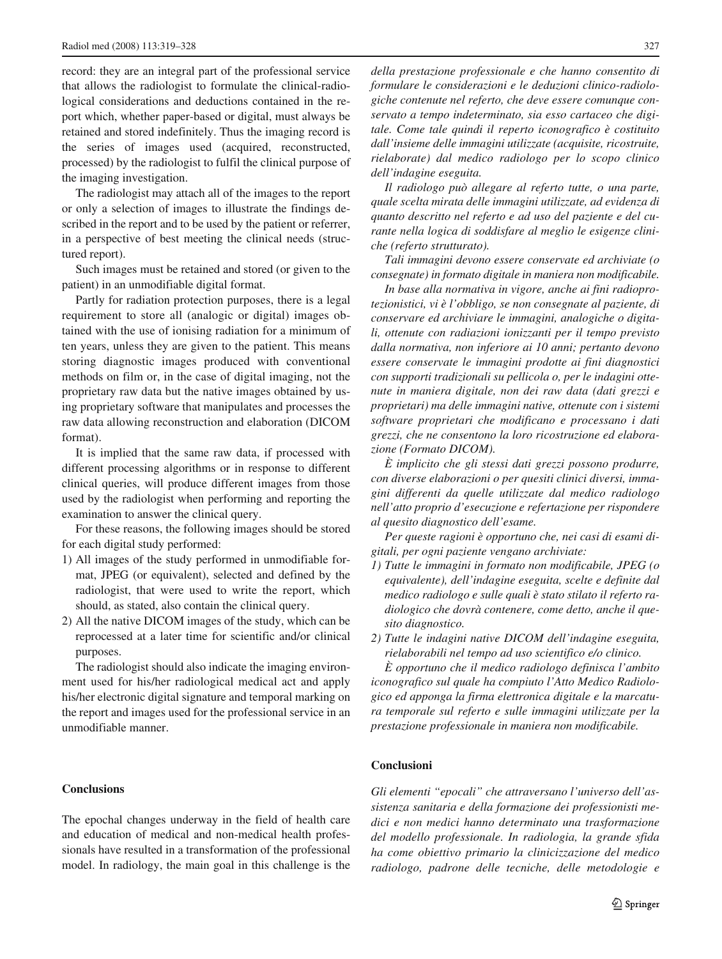record: they are an integral part of the professional service that allows the radiologist to formulate the clinical-radiological considerations and deductions contained in the report which, whether paper-based or digital, must always be retained and stored indefinitely. Thus the imaging record is the series of images used (acquired, reconstructed, processed) by the radiologist to fulfil the clinical purpose of the imaging investigation.

The radiologist may attach all of the images to the report or only a selection of images to illustrate the findings described in the report and to be used by the patient or referrer, in a perspective of best meeting the clinical needs (structured report).

Such images must be retained and stored (or given to the patient) in an unmodifiable digital format.

Partly for radiation protection purposes, there is a legal requirement to store all (analogic or digital) images obtained with the use of ionising radiation for a minimum of ten years, unless they are given to the patient. This means storing diagnostic images produced with conventional methods on film or, in the case of digital imaging, not the proprietary raw data but the native images obtained by using proprietary software that manipulates and processes the raw data allowing reconstruction and elaboration (DICOM format).

It is implied that the same raw data, if processed with different processing algorithms or in response to different clinical queries, will produce different images from those used by the radiologist when performing and reporting the examination to answer the clinical query.

For these reasons, the following images should be stored for each digital study performed:

- 1) All images of the study performed in unmodifiable format, JPEG (or equivalent), selected and defined by the radiologist, that were used to write the report, which should, as stated, also contain the clinical query.
- 2) All the native DICOM images of the study, which can be reprocessed at a later time for scientific and/or clinical purposes.

The radiologist should also indicate the imaging environment used for his/her radiological medical act and apply his/her electronic digital signature and temporal marking on the report and images used for the professional service in an unmodifiable manner.

### **Conclusions**

The epochal changes underway in the field of health care and education of medical and non-medical health professionals have resulted in a transformation of the professional model. In radiology, the main goal in this challenge is the

*della prestazione professionale e che hanno consentito di formulare le considerazioni e le deduzioni clinico-radiologiche contenute nel referto, che deve essere comunque conservato a tempo indeterminato, sia esso cartaceo che digitale. Come tale quindi il reperto iconografico è costituito dall'insieme delle immagini utilizzate (acquisite, ricostruite, rielaborate) dal medico radiologo per lo scopo clinico dell'indagine eseguita.* 

*Il radiologo può allegare al referto tutte, o una parte, quale scelta mirata delle immagini utilizzate, ad evidenza di quanto descritto nel referto e ad uso del paziente e del curante nella logica di soddisfare al meglio le esigenze cliniche (referto strutturato).* 

*Tali immagini devono essere conservate ed archiviate (o consegnate) in formato digitale in maniera non modificabile.* 

*In base alla normativa in vigore, anche ai fini radioprotezionistici, vi è l'obbligo, se non consegnate al paziente, di conservare ed archiviare le immagini, analogiche o digitali, ottenute con radiazioni ionizzanti per il tempo previsto dalla normativa, non inferiore ai 10 anni; pertanto devono essere conservate le immagini prodotte ai fini diagnostici con supporti tradizionali su pellicola o, per le indagini ottenute in maniera digitale, non dei raw data (dati grezzi e proprietari) ma delle immagini native, ottenute con i sistemi software proprietari che modificano e processano i dati grezzi, che ne consentono la loro ricostruzione ed elaborazione (Formato DICOM).* 

*È implicito che gli stessi dati grezzi possono produrre, con diverse elaborazioni o per quesiti clinici diversi, immagini differenti da quelle utilizzate dal medico radiologo nell'atto proprio d'esecuzione e refertazione per rispondere al quesito diagnostico dell'esame.* 

*Per queste ragioni è opportuno che, nei casi di esami digitali, per ogni paziente vengano archiviate:*

- *1) Tutte le immagini in formato non modificabile, JPEG (o equivalente), dell'indagine eseguita, scelte e definite dal medico radiologo e sulle quali è stato stilato il referto radiologico che dovrà contenere, come detto, anche il quesito diagnostico.*
- *2) Tutte le indagini native DICOM dell'indagine eseguita, rielaborabili nel tempo ad uso scientifico e/o clinico.*

*È opportuno che il medico radiologo definisca l'ambito iconografico sul quale ha compiuto l'Atto Medico Radiologico ed apponga la firma elettronica digitale e la marcatura temporale sul referto e sulle immagini utilizzate per la prestazione professionale in maniera non modificabile.* 

### **Conclusioni**

*Gli elementi "epocali" che attraversano l'universo dell'assistenza sanitaria e della formazione dei professionisti medici e non medici hanno determinato una trasformazione del modello professionale. In radiologia, la grande sfida ha come obiettivo primario la clinicizzazione del medico radiologo, padrone delle tecniche, delle metodologie e*